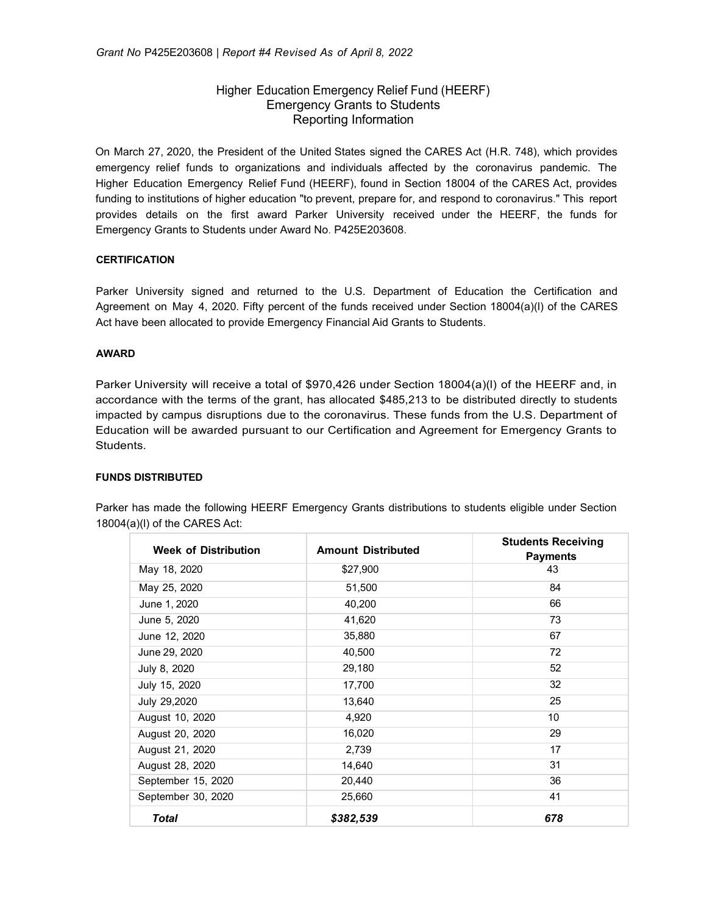# Higher Education Emergency Relief Fund (HEERF) Emergency Grants to Students Reporting Information

On March 27, 2020, the President of the United States signed the CARES Act (H.R. 748), which provides emergency relief funds to organizations and individuals affected by the coronavirus pandemic. The Higher Education Emergency Relief Fund (HEERF), found in Section 18004 of the CARES Act, provides funding to institutions of higher education "to prevent, prepare for, and respond to coronavirus." This report provides details on the first award Parker University received under the HEERF, the funds for Emergency Grants to Students under Award No. P425E203608.

# **CERTIFICATION**

Parker University signed and returned to the U.S. Department of Education the Certification and Agreement on May 4, 2020. Fifty percent of the funds received under Section 18004(a)(l) of the CARES Act have been allocated to provide Emergency Financial Aid Grants to Students.

### **AWARD**

Parker University will receive a total of \$970,426 under Section 18004(a)(l) of the HEERF and, in accordance with the terms of the grant, has allocated \$485,213 to be distributed directly to students impacted by campus disruptions due to the coronavirus. These funds from the U.S. Department of Education will be awarded pursuant to our Certification and Agreement for Emergency Grants to Students.

## **FUNDS DISTRIBUTED**

| <b>Week of Distribution</b> | <b>Amount Distributed</b> | <b>Students Receiving</b><br><b>Payments</b> |
|-----------------------------|---------------------------|----------------------------------------------|
| May 18, 2020                | \$27,900                  | 43                                           |
| May 25, 2020                | 51,500                    | 84                                           |
| June 1, 2020                | 40,200                    | 66                                           |
| June 5, 2020                | 41,620                    | 73                                           |
| June 12, 2020               | 35,880                    | 67                                           |
| June 29, 2020               | 40,500                    | 72                                           |
| July 8, 2020                | 29,180                    | 52                                           |
| July 15, 2020               | 17,700                    | 32                                           |
| July 29,2020                | 13,640                    | 25                                           |
| August 10, 2020             | 4,920                     | 10                                           |
| August 20, 2020             | 16,020                    | 29                                           |
| August 21, 2020             | 2,739                     | 17                                           |
| August 28, 2020             | 14,640                    | 31                                           |
| September 15, 2020          | 20,440                    | 36                                           |
| September 30, 2020          | 25,660                    | 41                                           |
| <b>Total</b>                | \$382,539                 | 678                                          |

Parker has made the following HEERF Emergency Grants distributions to students eligible under Section 18004(a)(l) of the CARES Act: